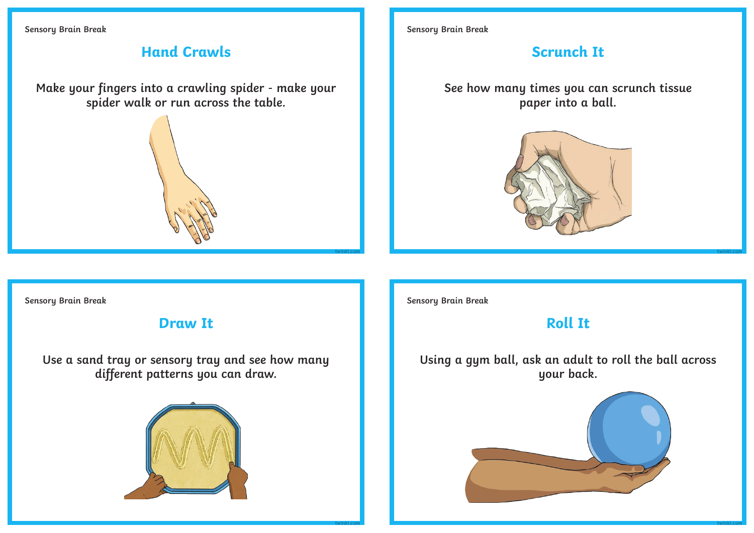**Sensory Brain Break**

# **Hand Crawls**

**Make your fingers into a crawling spider - make your spider walk or run across the table.**



**Sensory Brain Break**

# **Scrunch It**

**See how many times you can scrunch tissue paper into a ball.**



**Sensory Brain Break**

## **Draw It**

**Use a sand tray or sensory tray and see how many different patterns you can draw.**



**Sensory Brain Break**

**[twinkl.com](https://www.twinkl.co.uk/resources/specialeducationalneeds-sen/specialeducationalneeds-sen-sensory-and-physical-needs/sen-sensory)**

**[twinkl.com](https://www.twinkl.co.uk/resources/specialeducationalneeds-sen/specialeducationalneeds-sen-sensory-and-physical-needs/sen-sensory)**

# **Roll It**

**Using a gym ball, ask an adult to roll the ball across your back.** 



**[twinkl.com](https://www.twinkl.co.uk/resources/specialeducationalneeds-sen/specialeducationalneeds-sen-sensory-and-physical-needs/sen-sensory)**

**[twinkl.com](https://www.twinkl.co.uk/resources/specialeducationalneeds-sen/specialeducationalneeds-sen-sensory-and-physical-needs/sen-sensory)**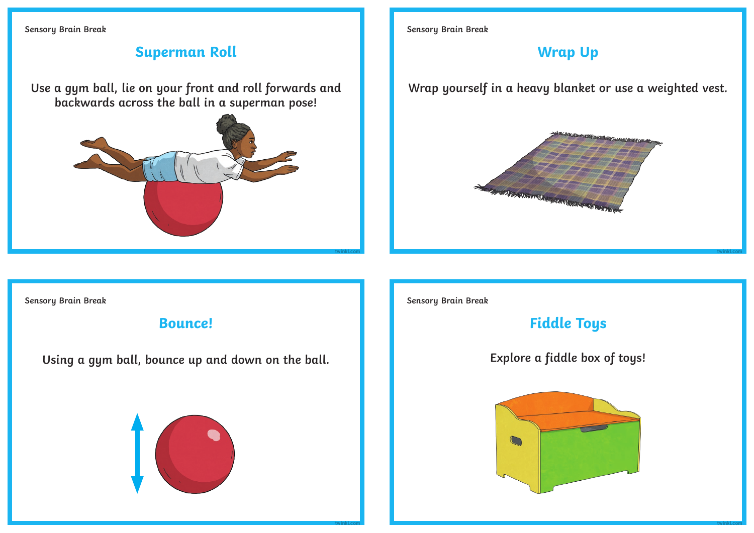**Sensory Brain Break**

#### **Superman Roll**

**Use a gym ball, lie on your front and roll forwards and backwards across the ball in a superman pose!**



**Sensory Brain Break**

## **Wrap Up**

**Wrap yourself in a heavy blanket or use a weighted vest.**



**Sensory Brain Break**

#### **Bounce!**

**Using a gym ball, bounce up and down on the ball.**



**Sensory Brain Break**

**[twinkl.com](https://www.twinkl.co.uk/resources/specialeducationalneeds-sen/specialeducationalneeds-sen-sensory-and-physical-needs/sen-sensory)**

# **Fiddle Toys**

**Explore a fiddle box of toys!**



**[twinkl.com](https://www.twinkl.co.uk/resources/specialeducationalneeds-sen/specialeducationalneeds-sen-sensory-and-physical-needs/sen-sensory)**

**[twinkl.com](https://www.twinkl.co.uk/resources/specialeducationalneeds-sen/specialeducationalneeds-sen-sensory-and-physical-needs/sen-sensory)**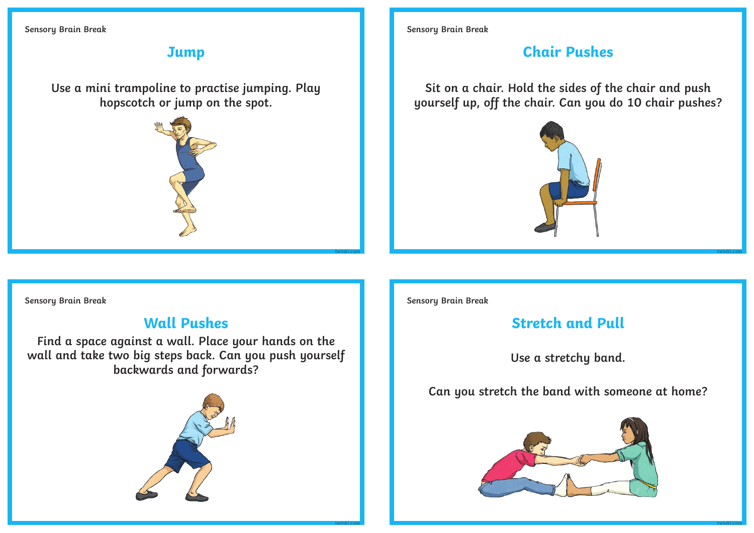**Sensory Brain Break**

## **Jump**

**Use a mini trampoline to practise jumping. Play hopscotch or jump on the spot.**



**Sensory Brain Break**

## **Chair Pushes**

**Sit on a chair. Hold the sides of the chair and push yourself up, off the chair. Can you do 10 chair pushes?**



**Sensory Brain Break**

#### **Wall Pushes**

**Find a space against a wall. Place your hands on the wall and take two big steps back. Can you push yourself backwards and forwards?**



**Sensory Brain Break**

**[twinkl.com](https://www.twinkl.co.uk/resources/specialeducationalneeds-sen/specialeducationalneeds-sen-sensory-and-physical-needs/sen-sensory)**

**[twinkl.com](https://www.twinkl.co.uk/resources/specialeducationalneeds-sen/specialeducationalneeds-sen-sensory-and-physical-needs/sen-sensory)**

# **Stretch and Pull**

**Use a stretchy band.** 

#### **Can you stretch the band with someone at home?**



**[twinkl.com](https://www.twinkl.co.uk/resources/specialeducationalneeds-sen/specialeducationalneeds-sen-sensory-and-physical-needs/sen-sensory)**

**[twinkl.com](https://www.twinkl.co.uk/resources/specialeducationalneeds-sen/specialeducationalneeds-sen-sensory-and-physical-needs/sen-sensory)**